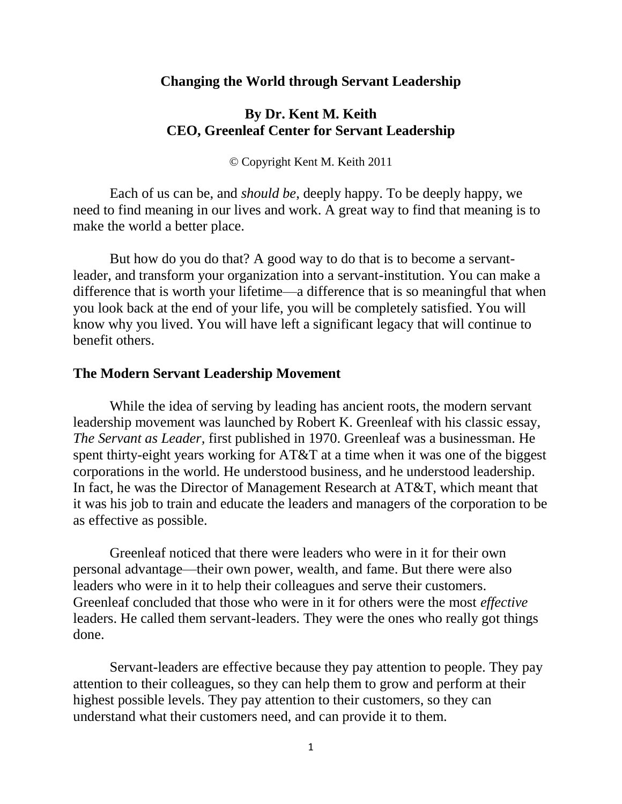#### **Changing the World through Servant Leadership**

# **By Dr. Kent M. Keith CEO, Greenleaf Center for Servant Leadership**

© Copyright Kent M. Keith 2011

Each of us can be, and *should be*, deeply happy. To be deeply happy, we need to find meaning in our lives and work. A great way to find that meaning is to make the world a better place.

But how do you do that? A good way to do that is to become a servantleader, and transform your organization into a servant-institution. You can make a difference that is worth your lifetime—a difference that is so meaningful that when you look back at the end of your life, you will be completely satisfied. You will know why you lived. You will have left a significant legacy that will continue to benefit others.

#### **The Modern Servant Leadership Movement**

While the idea of serving by leading has ancient roots, the modern servant leadership movement was launched by Robert K. Greenleaf with his classic essay, *The Servant as Leader,* first published in 1970. Greenleaf was a businessman. He spent thirty-eight years working for AT&T at a time when it was one of the biggest corporations in the world. He understood business, and he understood leadership. In fact, he was the Director of Management Research at AT&T, which meant that it was his job to train and educate the leaders and managers of the corporation to be as effective as possible.

Greenleaf noticed that there were leaders who were in it for their own personal advantage—their own power, wealth, and fame. But there were also leaders who were in it to help their colleagues and serve their customers. Greenleaf concluded that those who were in it for others were the most *effective* leaders. He called them servant-leaders. They were the ones who really got things done.

Servant-leaders are effective because they pay attention to people. They pay attention to their colleagues, so they can help them to grow and perform at their highest possible levels. They pay attention to their customers, so they can understand what their customers need, and can provide it to them.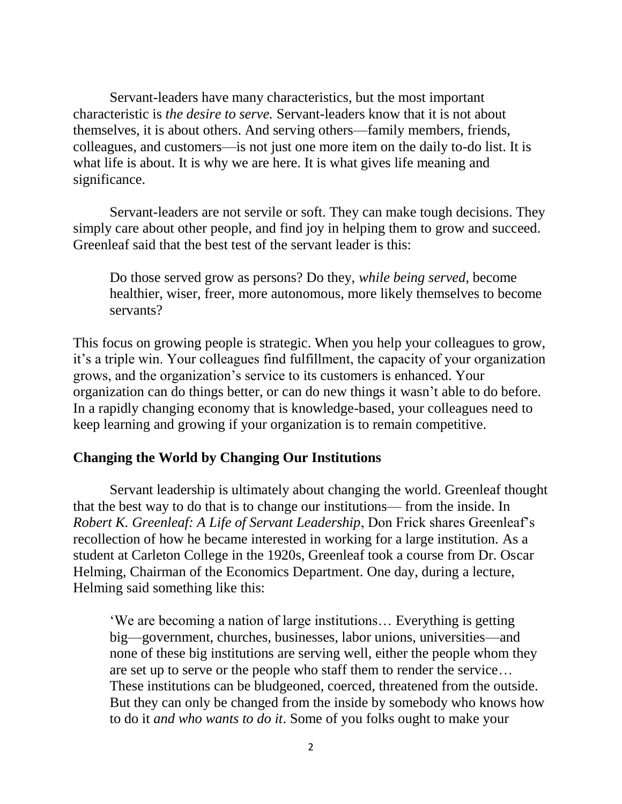Servant-leaders have many characteristics, but the most important characteristic is *the desire to serve.* Servant-leaders know that it is not about themselves, it is about others. And serving others—family members, friends, colleagues, and customers—is not just one more item on the daily to-do list. It is what life is about. It is why we are here. It is what gives life meaning and significance.

Servant-leaders are not servile or soft. They can make tough decisions. They simply care about other people, and find joy in helping them to grow and succeed. Greenleaf said that the best test of the servant leader is this:

Do those served grow as persons? Do they, *while being served*, become healthier, wiser, freer, more autonomous, more likely themselves to become servants?

This focus on growing people is strategic. When you help your colleagues to grow, it's a triple win. Your colleagues find fulfillment, the capacity of your organization grows, and the organization's service to its customers is enhanced. Your organization can do things better, or can do new things it wasn't able to do before. In a rapidly changing economy that is knowledge-based, your colleagues need to keep learning and growing if your organization is to remain competitive.

## **Changing the World by Changing Our Institutions**

Servant leadership is ultimately about changing the world. Greenleaf thought that the best way to do that is to change our institutions— from the inside. In *Robert K. Greenleaf: A Life of Servant Leadership*, Don Frick shares Greenleaf's recollection of how he became interested in working for a large institution. As a student at Carleton College in the 1920s, Greenleaf took a course from Dr. Oscar Helming, Chairman of the Economics Department. One day, during a lecture, Helming said something like this:

'We are becoming a nation of large institutions… Everything is getting big—government, churches, businesses, labor unions, universities—and none of these big institutions are serving well, either the people whom they are set up to serve or the people who staff them to render the service… These institutions can be bludgeoned, coerced, threatened from the outside. But they can only be changed from the inside by somebody who knows how to do it *and who wants to do it*. Some of you folks ought to make your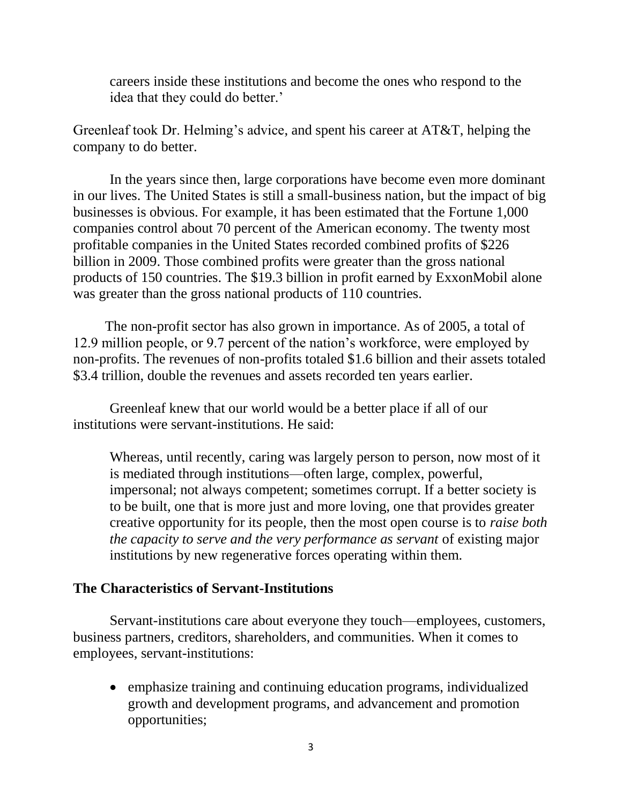careers inside these institutions and become the ones who respond to the idea that they could do better.'

Greenleaf took Dr. Helming's advice, and spent his career at AT&T, helping the company to do better.

In the years since then, large corporations have become even more dominant in our lives. The United States is still a small-business nation, but the impact of big businesses is obvious. For example, it has been estimated that the Fortune 1,000 companies control about 70 percent of the American economy. The twenty most profitable companies in the United States recorded combined profits of \$226 billion in 2009. Those combined profits were greater than the gross national products of 150 countries. The \$19.3 billion in profit earned by ExxonMobil alone was greater than the gross national products of 110 countries.

 The non-profit sector has also grown in importance. As of 2005, a total of 12.9 million people, or 9.7 percent of the nation's workforce, were employed by non-profits. The revenues of non-profits totaled \$1.6 billion and their assets totaled \$3.4 trillion, double the revenues and assets recorded ten years earlier.

Greenleaf knew that our world would be a better place if all of our institutions were servant-institutions. He said:

Whereas, until recently, caring was largely person to person, now most of it is mediated through institutions—often large, complex, powerful, impersonal; not always competent; sometimes corrupt. If a better society is to be built, one that is more just and more loving, one that provides greater creative opportunity for its people, then the most open course is to *raise both the capacity to serve and the very performance as servant of existing major* institutions by new regenerative forces operating within them.

## **The Characteristics of Servant-Institutions**

Servant-institutions care about everyone they touch—employees, customers, business partners, creditors, shareholders, and communities. When it comes to employees, servant-institutions:

 emphasize training and continuing education programs, individualized growth and development programs, and advancement and promotion opportunities;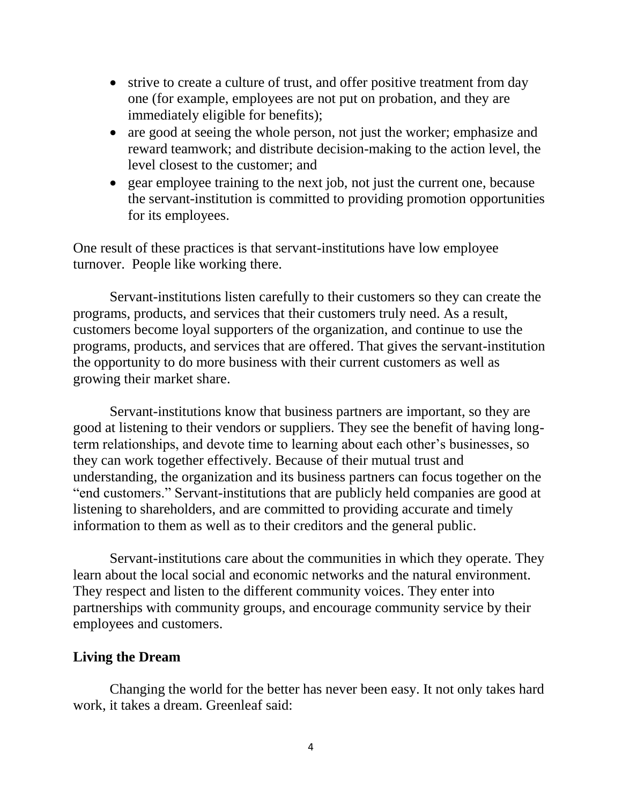- strive to create a culture of trust, and offer positive treatment from day one (for example, employees are not put on probation, and they are immediately eligible for benefits);
- are good at seeing the whole person, not just the worker; emphasize and reward teamwork; and distribute decision-making to the action level, the level closest to the customer; and
- gear employee training to the next job, not just the current one, because the servant-institution is committed to providing promotion opportunities for its employees.

One result of these practices is that servant-institutions have low employee turnover. People like working there.

Servant-institutions listen carefully to their customers so they can create the programs, products, and services that their customers truly need. As a result, customers become loyal supporters of the organization, and continue to use the programs, products, and services that are offered. That gives the servant-institution the opportunity to do more business with their current customers as well as growing their market share.

Servant-institutions know that business partners are important, so they are good at listening to their vendors or suppliers. They see the benefit of having longterm relationships, and devote time to learning about each other's businesses, so they can work together effectively. Because of their mutual trust and understanding, the organization and its business partners can focus together on the "end customers." Servant-institutions that are publicly held companies are good at listening to shareholders, and are committed to providing accurate and timely information to them as well as to their creditors and the general public.

Servant-institutions care about the communities in which they operate. They learn about the local social and economic networks and the natural environment. They respect and listen to the different community voices. They enter into partnerships with community groups, and encourage community service by their employees and customers.

## **Living the Dream**

Changing the world for the better has never been easy. It not only takes hard work, it takes a dream. Greenleaf said: